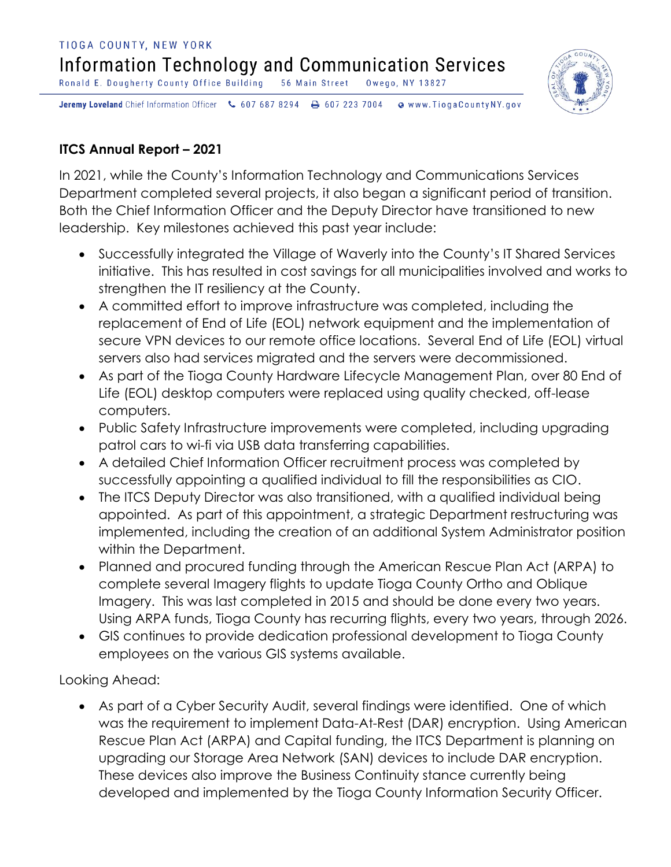## TIOGA COUNTY, NEW YORK Information Technology and Communication Services Ronald E. Dougherty County Office Building 56 Main Street Owego, NY 13827



Jeremy Loveland Chief Information Officer \607 687 8294 \ + 607 223 7004 Www.TiogaCountyNY.gov

## **ITCS Annual Report – 2021**

In 2021, while the County's Information Technology and Communications Services Department completed several projects, it also began a significant period of transition. Both the Chief Information Officer and the Deputy Director have transitioned to new leadership. Key milestones achieved this past year include:

- Successfully integrated the Village of Waverly into the County's IT Shared Services initiative. This has resulted in cost savings for all municipalities involved and works to strengthen the IT resiliency at the County.
- A committed effort to improve infrastructure was completed, including the replacement of End of Life (EOL) network equipment and the implementation of secure VPN devices to our remote office locations. Several End of Life (EOL) virtual servers also had services migrated and the servers were decommissioned.
- As part of the Tioga County Hardware Lifecycle Management Plan, over 80 End of Life (EOL) desktop computers were replaced using quality checked, off-lease computers.
- Public Safety Infrastructure improvements were completed, including upgrading patrol cars to wi-fi via USB data transferring capabilities.
- A detailed Chief Information Officer recruitment process was completed by successfully appointing a qualified individual to fill the responsibilities as CIO.
- The ITCS Deputy Director was also transitioned, with a qualified individual being appointed. As part of this appointment, a strategic Department restructuring was implemented, including the creation of an additional System Administrator position within the Department.
- Planned and procured funding through the American Rescue Plan Act (ARPA) to complete several Imagery flights to update Tioga County Ortho and Oblique Imagery. This was last completed in 2015 and should be done every two years. Using ARPA funds, Tioga County has recurring flights, every two years, through 2026.
- GIS continues to provide dedication professional development to Tioga County employees on the various GIS systems available.

Looking Ahead:

 As part of a Cyber Security Audit, several findings were identified. One of which was the requirement to implement Data-At-Rest (DAR) encryption. Using American Rescue Plan Act (ARPA) and Capital funding, the ITCS Department is planning on upgrading our Storage Area Network (SAN) devices to include DAR encryption. These devices also improve the Business Continuity stance currently being developed and implemented by the Tioga County Information Security Officer.